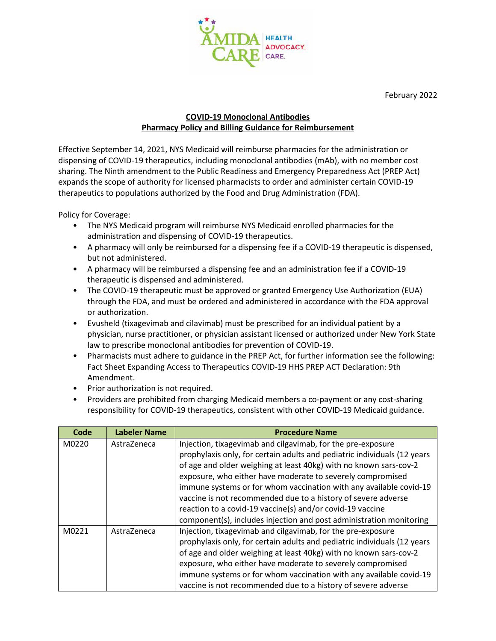

February 2022

## **COVID-19 Monoclonal Antibodies Pharmacy Policy and Billing Guidance for Reimbursement**

Effective September 14, 2021, NYS Medicaid will reimburse pharmacies for the administration or dispensing of COVID-19 therapeutics, including monoclonal antibodies (mAb), with no member cost sharing. The Ninth amendment to the Public Readiness and Emergency Preparedness Act (PREP Act) expands the scope of authority for licensed pharmacists to order and administer certain COVID-19 therapeutics to populations authorized by the Food and Drug Administration (FDA).

Policy for Coverage:

- The NYS Medicaid program will reimburse NYS Medicaid enrolled pharmacies for the administration and dispensing of COVID-19 therapeutics.
- A pharmacy will only be reimbursed for a dispensing fee if a COVID-19 therapeutic is dispensed, but not administered.
- A pharmacy will be reimbursed a dispensing fee and an administration fee if a COVID-19 therapeutic is dispensed and administered.
- The COVID-19 therapeutic must be approved or granted Emergency Use Authorization (EUA) through the FDA, and must be ordered and administered in accordance with the FDA approval or authorization.
- Evusheld (tixagevimab and cilavimab) must be prescribed for an individual patient by a physician, nurse practitioner, or physician assistant licensed or authorized under New York State law to prescribe monoclonal antibodies for prevention of COVID-19.
- Pharmacists must adhere to guidance in the PREP Act, for further information see the following: Fact Sheet Expanding Access to Therapeutics COVID-19 HHS PREP ACT Declaration: 9th Amendment.
- Prior authorization is not required.
- Providers are prohibited from charging Medicaid members a co-payment or any cost-sharing responsibility for COVID-19 therapeutics, consistent with other COVID-19 Medicaid guidance.

| Code  | <b>Labeler Name</b> | <b>Procedure Name</b>                                                                                                                                                                                                                                                                                                                                                                                                                                                                                                                                 |
|-------|---------------------|-------------------------------------------------------------------------------------------------------------------------------------------------------------------------------------------------------------------------------------------------------------------------------------------------------------------------------------------------------------------------------------------------------------------------------------------------------------------------------------------------------------------------------------------------------|
| M0220 | AstraZeneca         | Injection, tixagevimab and cilgavimab, for the pre-exposure<br>prophylaxis only, for certain adults and pediatric individuals (12 years<br>of age and older weighing at least 40kg) with no known sars-cov-2<br>exposure, who either have moderate to severely compromised<br>immune systems or for whom vaccination with any available covid-19<br>vaccine is not recommended due to a history of severe adverse<br>reaction to a covid-19 vaccine(s) and/or covid-19 vaccine<br>component(s), includes injection and post administration monitoring |
| M0221 | AstraZeneca         | Injection, tixagevimab and cilgavimab, for the pre-exposure<br>prophylaxis only, for certain adults and pediatric individuals (12 years<br>of age and older weighing at least 40kg) with no known sars-cov-2<br>exposure, who either have moderate to severely compromised<br>immune systems or for whom vaccination with any available covid-19<br>vaccine is not recommended due to a history of severe adverse                                                                                                                                     |